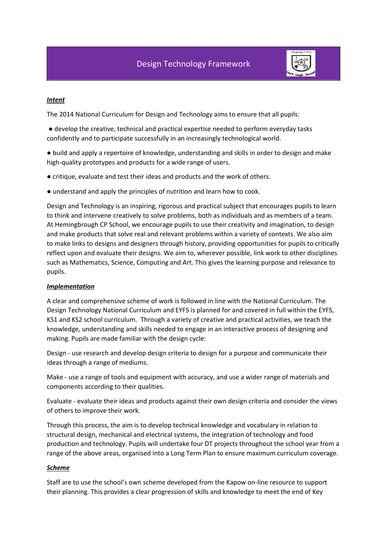

# *Intent*

The 2014 National Curriculum for Design and Technology aims to ensure that all pupils:

● develop the creative, technical and practical expertise needed to perform everyday tasks confidently and to participate successfully in an increasingly technological world.

● build and apply a repertoire of knowledge, understanding and skills in order to design and make high-quality prototypes and products for a wide range of users.

- critique, evaluate and test their ideas and products and the work of others.
- understand and apply the principles of nutrition and learn how to cook.

Design and Technology is an inspiring, rigorous and practical subject that encourages pupils to learn to think and intervene creatively to solve problems, both as individuals and as members of a team. At Hemingbrough CP School, we encourage pupils to use their creativity and imagination, to design and make products that solve real and relevant problems within a variety of contexts. We also aim to make links to designs and designers through history, providing opportunities for pupils to critically reflect upon and evaluate their designs. We aim to, wherever possible, link work to other disciplines such as Mathematics, Science, Computing and Art. This gives the learning purpose and relevance to pupils.

### *Implementation*

A clear and comprehensive scheme of work is followed in line with the National Curriculum. The Design Technology National Curriculum and EYFS is planned for and covered in full within the EYFS, KS1 and KS2 school curriculum. Through a variety of creative and practical activities, we teach the knowledge, understanding and skills needed to engage in an interactive process of designing and making. Pupils are made familiar with the design cycle:

Design - use research and develop design criteria to design for a purpose and communicate their ideas through a range of mediums.

Make - use a range of tools and equipment with accuracy, and use a wider range of materials and components according to their qualities.

Evaluate - evaluate their ideas and products against their own design criteria and consider the views of others to improve their work.

Through this process, the aim is to develop technical knowledge and vocabulary in relation to structural design, mechanical and electrical systems, the integration of technology and food production and technology. Pupils will undertake four DT projects throughout the school year from a range of the above areas, organised into a Long Term Plan to ensure maximum curriculum coverage.

# *Scheme*

Staff are to use the school's own scheme developed from the Kapow on-line resource to support their planning. This provides a clear progression of skills and knowledge to meet the end of Key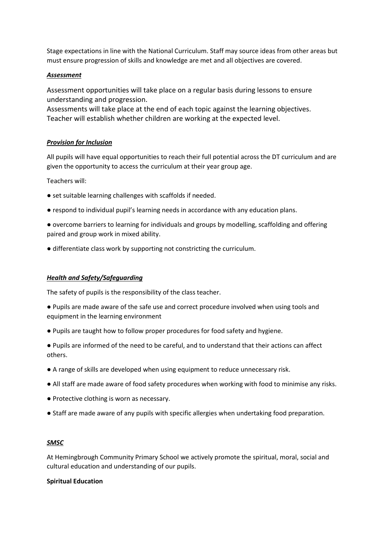Stage expectations in line with the National Curriculum. Staff may source ideas from other areas but must ensure progression of skills and knowledge are met and all objectives are covered.

### *Assessment*

Assessment opportunities will take place on a regular basis during lessons to ensure understanding and progression.

Assessments will take place at the end of each topic against the learning objectives. Teacher will establish whether children are working at the expected level.

# *Provision for Inclusion*

All pupils will have equal opportunities to reach their full potential across the DT curriculum and are given the opportunity to access the curriculum at their year group age.

Teachers will:

- set suitable learning challenges with scaffolds if needed.
- respond to individual pupil's learning needs in accordance with any education plans.
- overcome barriers to learning for individuals and groups by modelling, scaffolding and offering paired and group work in mixed ability.
- differentiate class work by supporting not constricting the curriculum.

### *Health and Safety/Safeguarding*

The safety of pupils is the responsibility of the class teacher.

- Pupils are made aware of the safe use and correct procedure involved when using tools and equipment in the learning environment
- Pupils are taught how to follow proper procedures for food safety and hygiene.
- Pupils are informed of the need to be careful, and to understand that their actions can affect others.
- A range of skills are developed when using equipment to reduce unnecessary risk.
- All staff are made aware of food safety procedures when working with food to minimise any risks.
- Protective clothing is worn as necessary.
- Staff are made aware of any pupils with specific allergies when undertaking food preparation.

### *SMSC*

At Hemingbrough Community Primary School we actively promote the spiritual, moral, social and cultural education and understanding of our pupils.

### **Spiritual Education**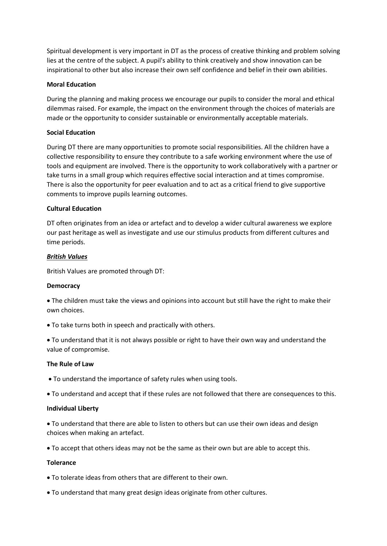Spiritual development is very important in DT as the process of creative thinking and problem solving lies at the centre of the subject. A pupil's ability to think creatively and show innovation can be inspirational to other but also increase their own self confidence and belief in their own abilities.

### **Moral Education**

During the planning and making process we encourage our pupils to consider the moral and ethical dilemmas raised. For example, the impact on the environment through the choices of materials are made or the opportunity to consider sustainable or environmentally acceptable materials.

# **Social Education**

During DT there are many opportunities to promote social responsibilities. All the children have a collective responsibility to ensure they contribute to a safe working environment where the use of tools and equipment are involved. There is the opportunity to work collaboratively with a partner or take turns in a small group which requires effective social interaction and at times compromise. There is also the opportunity for peer evaluation and to act as a critical friend to give supportive comments to improve pupils learning outcomes.

# **Cultural Education**

DT often originates from an idea or artefact and to develop a wider cultural awareness we explore our past heritage as well as investigate and use our stimulus products from different cultures and time periods.

# *British Values*

British Values are promoted through DT:

### **Democracy**

• The children must take the views and opinions into account but still have the right to make their own choices.

• To take turns both in speech and practically with others.

• To understand that it is not always possible or right to have their own way and understand the value of compromise.

### **The Rule of Law**

- To understand the importance of safety rules when using tools.
- To understand and accept that if these rules are not followed that there are consequences to this.

### **Individual Liberty**

• To understand that there are able to listen to others but can use their own ideas and design choices when making an artefact.

• To accept that others ideas may not be the same as their own but are able to accept this.

### **Tolerance**

- To tolerate ideas from others that are different to their own.
- To understand that many great design ideas originate from other cultures.